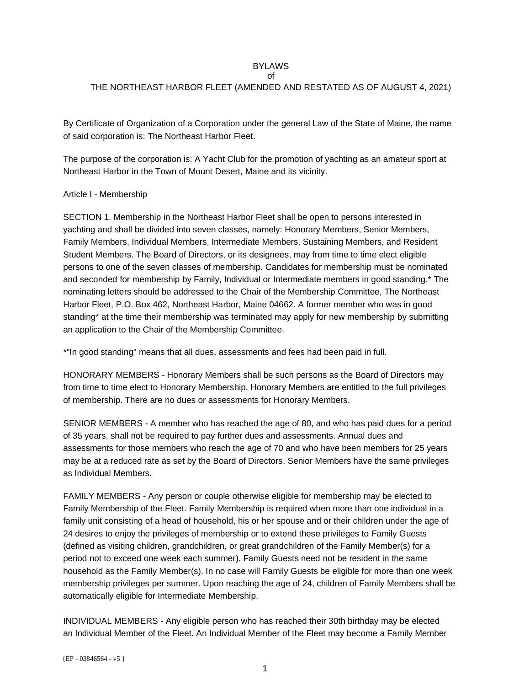#### BYLAWS of

# THE NORTHEAST HARBOR FLEET (AMENDED AND RESTATED AS OF AUGUST 4, 2021)

By Certificate of Organization of a Corporation under the general Law of the State of Maine, the name of said corporation is: The Northeast Harbor Fleet.

The purpose of the corporation is: A Yacht Club for the promotion of yachting as an amateur sport at Northeast Harbor in the Town of Mount Desert, Maine and its vicinity.

## Article I - Membership

SECTION 1. Membership in the Northeast Harbor Fleet shall be open to persons interested in yachting and shall be divided into seven classes, namely: Honorary Members, Senior Members, Family Members, Individual Members, Intermediate Members, Sustaining Members, and Resident Student Members. The Board of Directors, or its designees, may from time to time elect eligible persons to one of the seven classes of membership. Candidates for membership must be nominated and seconded for membership by Family, Individual or Intermediate members in good standing.\* The nominating letters should be addressed to the Chair of the Membership Committee, The Northeast Harbor Fleet, P.O. Box 462, Northeast Harbor, Maine 04662. A former member who was in good standing\* at the time their membership was terminated may apply for new membership by submitting an application to the Chair of the Membership Committee.

\*"In good standing" means that all dues, assessments and fees had been paid in full.

HONORARY MEMBERS - Honorary Members shall be such persons as the Board of Directors may from time to time elect to Honorary Membership. Honorary Members are entitled to the full privileges of membership. There are no dues or assessments for Honorary Members.

SENIOR MEMBERS - A member who has reached the age of 80, and who has paid dues for a period of 35 years, shall not be required to pay further dues and assessments. Annual dues and assessments for those members who reach the age of 70 and who have been members for 25 years may be at a reduced rate as set by the Board of Directors. Senior Members have the same privileges as Individual Members.

FAMILY MEMBERS - Any person or couple otherwise eligible for membership may be elected to Family Membership of the Fleet. Family Membership is required when more than one individual in a family unit consisting of a head of household, his or her spouse and or their children under the age of 24 desires to enjoy the privileges of membership or to extend these privileges to Family Guests (defined as visiting children, grandchildren, or great grandchildren of the Family Member(s) for a period not to exceed one week each summer). Family Guests need not be resident in the same household as the Family Member(s). In no case will Family Guests be eligible for more than one week membership privileges per summer. Upon reaching the age of 24, children of Family Members shall be automatically eligible for Intermediate Membership.

INDIVIDUAL MEMBERS - Any eligible person who has reached their 30th birthday may be elected an Individual Member of the Fleet. An Individual Member of the Fleet may become a Family Member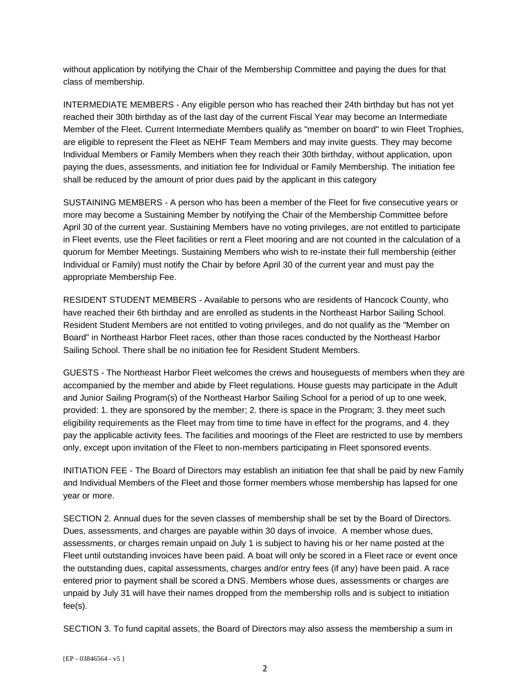without application by notifying the Chair of the Membership Committee and paying the dues for that class of membership.

INTERMEDIATE MEMBERS - Any eligible person who has reached their 24th birthday but has not yet reached their 30th birthday as of the last day of the current Fiscal Year may become an Intermediate Member of the Fleet. Current Intermediate Members qualify as "member on board" to win Fleet Trophies, are eligible to represent the Fleet as NEHF Team Members and may invite guests. They may become Individual Members or Family Members when they reach their 30th birthday, without application, upon paying the dues, assessments, and initiation fee for Individual or Family Membership. The initiation fee shall be reduced by the amount of prior dues paid by the applicant in this category

SUSTAINING MEMBERS - A person who has been a member of the Fleet for five consecutive years or more may become a Sustaining Member by notifying the Chair of the Membership Committee before April 30 of the current year. Sustaining Members have no voting privileges, are not entitled to participate in Fleet events, use the Fleet facilities or rent a Fleet mooring and are not counted in the calculation of a quorum for Member Meetings. Sustaining Members who wish to re-instate their full membership (either Individual or Family) must notify the Chair by before April 30 of the current year and must pay the appropriate Membership Fee.

RESIDENT STUDENT MEMBERS - Available to persons who are residents of Hancock County, who have reached their 6th birthday and are enrolled as students in the Northeast Harbor Sailing School. Resident Student Members are not entitled to voting privileges, and do not qualify as the "Member on Board" in Northeast Harbor Fleet races, other than those races conducted by the Northeast Harbor Sailing School. There shall be no initiation fee for Resident Student Members.

GUESTS - The Northeast Harbor Fleet welcomes the crews and houseguests of members when they are accompanied by the member and abide by Fleet regulations. House guests may participate in the Adult and Junior Sailing Program(s) of the Northeast Harbor Sailing School for a period of up to one week, provided: 1. they are sponsored by the member; 2. there is space in the Program; 3. they meet such eligibility requirements as the Fleet may from time to time have in effect for the programs, and 4. they pay the applicable activity fees. The facilities and moorings of the Fleet are restricted to use by members only, except upon invitation of the Fleet to non-members participating in Fleet sponsored events.

INITIATION FEE - The Board of Directors may establish an initiation fee that shall be paid by new Family and Individual Members of the Fleet and those former members whose membership has lapsed for one year or more.

SECTION 2. Annual dues for the seven classes of membership shall be set by the Board of Directors. Dues, assessments, and charges are payable within 30 days of invoice. A member whose dues, assessments, or charges remain unpaid on July 1 is subject to having his or her name posted at the Fleet until outstanding invoices have been paid. A boat will only be scored in a Fleet race or event once the outstanding dues, capital assessments, charges and/or entry fees (if any) have been paid. A race entered prior to payment shall be scored a DNS. Members whose dues, assessments or charges are unpaid by July 31 will have their names dropped from the membership rolls and is subject to initiation fee(s).

SECTION 3. To fund capital assets, the Board of Directors may also assess the membership a sum in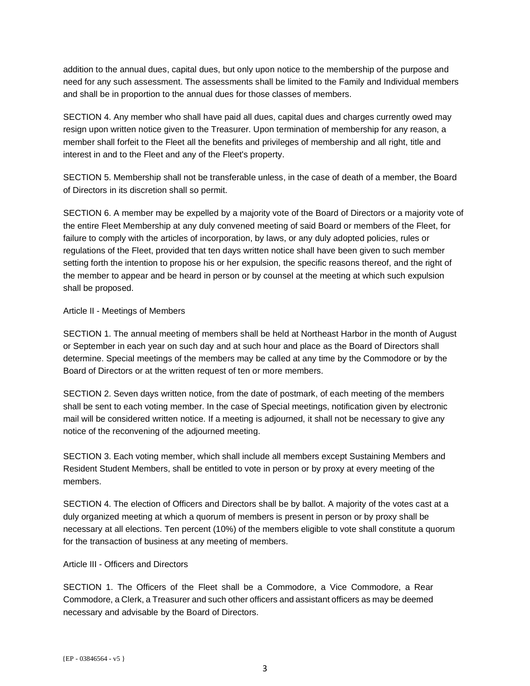addition to the annual dues, capital dues, but only upon notice to the membership of the purpose and need for any such assessment. The assessments shall be limited to the Family and Individual members and shall be in proportion to the annual dues for those classes of members.

SECTION 4. Any member who shall have paid all dues, capital dues and charges currently owed may resign upon written notice given to the Treasurer. Upon termination of membership for any reason, a member shall forfeit to the Fleet all the benefits and privileges of membership and all right, title and interest in and to the Fleet and any of the Fleet's property.

SECTION 5. Membership shall not be transferable unless, in the case of death of a member, the Board of Directors in its discretion shall so permit.

SECTION 6. A member may be expelled by a majority vote of the Board of Directors or a majority vote of the entire Fleet Membership at any duly convened meeting of said Board or members of the Fleet, for failure to comply with the articles of incorporation, by laws, or any duly adopted policies, rules or regulations of the Fleet, provided that ten days written notice shall have been given to such member setting forth the intention to propose his or her expulsion, the specific reasons thereof, and the right of the member to appear and be heard in person or by counsel at the meeting at which such expulsion shall be proposed.

## Article II - Meetings of Members

SECTION 1. The annual meeting of members shall be held at Northeast Harbor in the month of August or September in each year on such day and at such hour and place as the Board of Directors shall determine. Special meetings of the members may be called at any time by the Commodore or by the Board of Directors or at the written request of ten or more members.

SECTION 2. Seven days written notice, from the date of postmark, of each meeting of the members shall be sent to each voting member. In the case of Special meetings, notification given by electronic mail will be considered written notice. If a meeting is adjourned, it shall not be necessary to give any notice of the reconvening of the adjourned meeting.

SECTION 3. Each voting member, which shall include all members except Sustaining Members and Resident Student Members, shall be entitled to vote in person or by proxy at every meeting of the members.

SECTION 4. The election of Officers and Directors shall be by ballot. A majority of the votes cast at a duly organized meeting at which a quorum of members is present in person or by proxy shall be necessary at all elections. Ten percent (10%) of the members eligible to vote shall constitute a quorum for the transaction of business at any meeting of members.

## Article III - Officers and Directors

SECTION 1. The Officers of the Fleet shall be a Commodore, a Vice Commodore, a Rear Commodore, a Clerk, a Treasurer and such other officers and assistant officers as may be deemed necessary and advisable by the Board of Directors.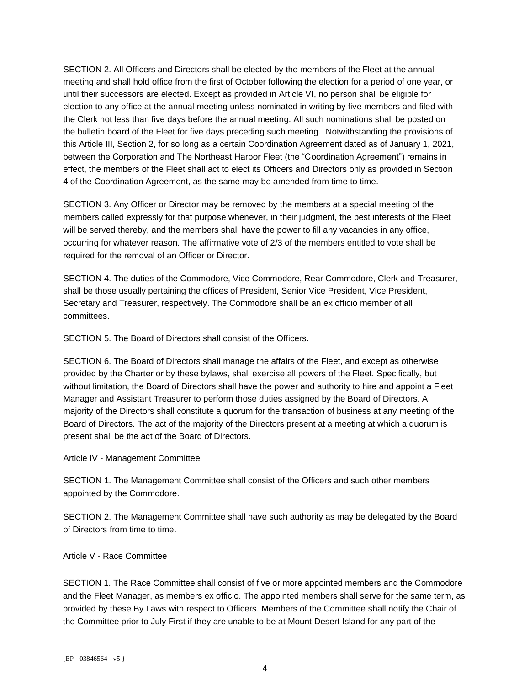SECTION 2. All Officers and Directors shall be elected by the members of the Fleet at the annual meeting and shall hold office from the first of October following the election for a period of one year, or until their successors are elected. Except as provided in Article VI, no person shall be eligible for election to any office at the annual meeting unless nominated in writing by five members and filed with the Clerk not less than five days before the annual meeting. All such nominations shall be posted on the bulletin board of the Fleet for five days preceding such meeting. Notwithstanding the provisions of this Article III, Section 2, for so long as a certain Coordination Agreement dated as of January 1, 2021, between the Corporation and The Northeast Harbor Fleet (the "Coordination Agreement") remains in effect, the members of the Fleet shall act to elect its Officers and Directors only as provided in Section 4 of the Coordination Agreement, as the same may be amended from time to time.

SECTION 3. Any Officer or Director may be removed by the members at a special meeting of the members called expressly for that purpose whenever, in their judgment, the best interests of the Fleet will be served thereby, and the members shall have the power to fill any vacancies in any office, occurring for whatever reason. The affirmative vote of 2/3 of the members entitled to vote shall be required for the removal of an Officer or Director.

SECTION 4. The duties of the Commodore, Vice Commodore, Rear Commodore, Clerk and Treasurer, shall be those usually pertaining the offices of President, Senior Vice President, Vice President, Secretary and Treasurer, respectively. The Commodore shall be an ex officio member of all committees.

SECTION 5. The Board of Directors shall consist of the Officers.

SECTION 6. The Board of Directors shall manage the affairs of the Fleet, and except as otherwise provided by the Charter or by these bylaws, shall exercise all powers of the Fleet. Specifically, but without limitation, the Board of Directors shall have the power and authority to hire and appoint a Fleet Manager and Assistant Treasurer to perform those duties assigned by the Board of Directors. A majority of the Directors shall constitute a quorum for the transaction of business at any meeting of the Board of Directors. The act of the majority of the Directors present at a meeting at which a quorum is present shall be the act of the Board of Directors.

Article IV - Management Committee

SECTION 1. The Management Committee shall consist of the Officers and such other members appointed by the Commodore.

SECTION 2. The Management Committee shall have such authority as may be delegated by the Board of Directors from time to time.

Article V - Race Committee

SECTION 1. The Race Committee shall consist of five or more appointed members and the Commodore and the Fleet Manager, as members ex officio. The appointed members shall serve for the same term, as provided by these By Laws with respect to Officers. Members of the Committee shall notify the Chair of the Committee prior to July First if they are unable to be at Mount Desert Island for any part of the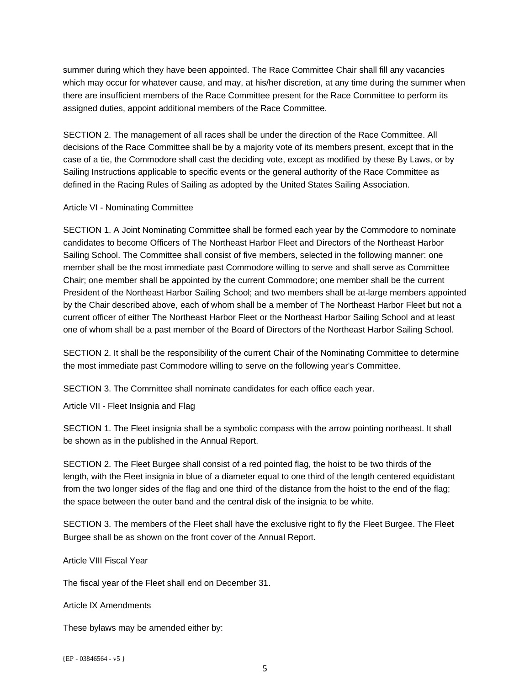summer during which they have been appointed. The Race Committee Chair shall fill any vacancies which may occur for whatever cause, and may, at his/her discretion, at any time during the summer when there are insufficient members of the Race Committee present for the Race Committee to perform its assigned duties, appoint additional members of the Race Committee.

SECTION 2. The management of all races shall be under the direction of the Race Committee. All decisions of the Race Committee shall be by a majority vote of its members present, except that in the case of a tie, the Commodore shall cast the deciding vote, except as modified by these By Laws, or by Sailing Instructions applicable to specific events or the general authority of the Race Committee as defined in the Racing Rules of Sailing as adopted by the United States Sailing Association.

#### Article VI - Nominating Committee

SECTION 1. A Joint Nominating Committee shall be formed each year by the Commodore to nominate candidates to become Officers of The Northeast Harbor Fleet and Directors of the Northeast Harbor Sailing School. The Committee shall consist of five members, selected in the following manner: one member shall be the most immediate past Commodore willing to serve and shall serve as Committee Chair; one member shall be appointed by the current Commodore; one member shall be the current President of the Northeast Harbor Sailing School; and two members shall be at-large members appointed by the Chair described above, each of whom shall be a member of The Northeast Harbor Fleet but not a current officer of either The Northeast Harbor Fleet or the Northeast Harbor Sailing School and at least one of whom shall be a past member of the Board of Directors of the Northeast Harbor Sailing School.

SECTION 2. It shall be the responsibility of the current Chair of the Nominating Committee to determine the most immediate past Commodore willing to serve on the following year's Committee.

SECTION 3. The Committee shall nominate candidates for each office each year.

Article VII - Fleet Insignia and Flag

SECTION 1. The Fleet insignia shall be a symbolic compass with the arrow pointing northeast. It shall be shown as in the published in the Annual Report.

SECTION 2. The Fleet Burgee shall consist of a red pointed flag, the hoist to be two thirds of the length, with the Fleet insignia in blue of a diameter equal to one third of the length centered equidistant from the two longer sides of the flag and one third of the distance from the hoist to the end of the flag; the space between the outer band and the central disk of the insignia to be white.

SECTION 3. The members of the Fleet shall have the exclusive right to fly the Fleet Burgee. The Fleet Burgee shall be as shown on the front cover of the Annual Report.

Article VIII Fiscal Year

The fiscal year of the Fleet shall end on December 31.

Article IX Amendments

These bylaws may be amended either by:

{EP - 03846564 - v5 }